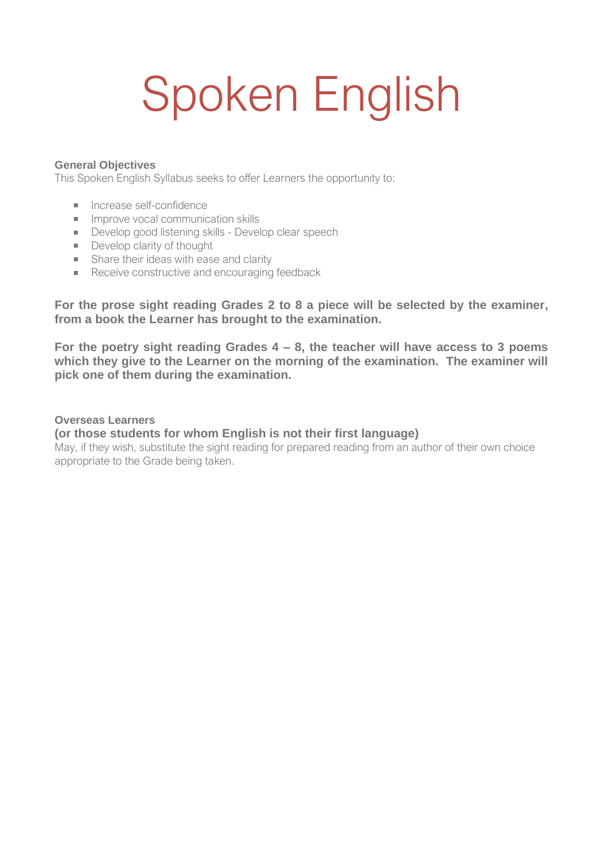# Spoken English

#### **General Objectives**

This Spoken English Syllabus seeks to offer Learners the opportunity to:

- **Increase self-confidence**
- $\blacksquare$  Improve vocal communication skills
- Develop good listening skills Develop clear speech
- Develop clarity of thought
- **Share their ideas with ease and clarity**
- Receive constructive and encouraging feedback

**For the prose sight reading Grades 2 to 8 a piece will be selected by the examiner, from a book the Learner has brought to the examination.**

**For the poetry sight reading Grades 4 – 8, the teacher will have access to 3 poems which they give to the Learner on the morning of the examination. The examiner will pick one of them during the examination.**

#### **Overseas Learners**

#### **(or those students for whom English is not their first language)**

May, if they wish, substitute the sight reading for prepared reading from an author of their own choice appropriate to the Grade being taken.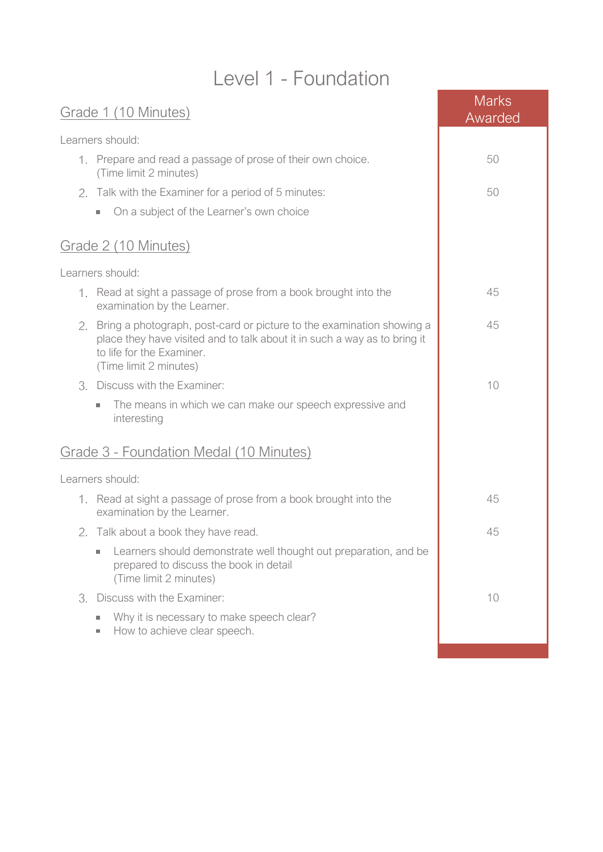## Level 1 - Foundation

| Learners should:<br>1. Prepare and read a passage of prose of their own choice.<br>50<br>(Time limit 2 minutes)<br>2. Talk with the Examiner for a period of 5 minutes:<br>50<br>On a subject of the Learner's own choice<br>$\mathcal{L}_{\mathcal{A}}$ | Awarded |
|----------------------------------------------------------------------------------------------------------------------------------------------------------------------------------------------------------------------------------------------------------|---------|
|                                                                                                                                                                                                                                                          |         |
|                                                                                                                                                                                                                                                          |         |
|                                                                                                                                                                                                                                                          |         |
|                                                                                                                                                                                                                                                          |         |
| Grade 2 (10 Minutes)                                                                                                                                                                                                                                     |         |
| Learners should:                                                                                                                                                                                                                                         |         |
| 1. Read at sight a passage of prose from a book brought into the<br>45<br>examination by the Learner.                                                                                                                                                    |         |
| 2. Bring a photograph, post-card or picture to the examination showing a<br>45<br>place they have visited and to talk about it in such a way as to bring it<br>to life for the Examiner.<br>(Time limit 2 minutes)                                       |         |
| Discuss with the Examiner:<br>10<br>3.                                                                                                                                                                                                                   |         |
| The means in which we can make our speech expressive and<br>$\sim$<br>interesting                                                                                                                                                                        |         |
| Grade 3 - Foundation Medal (10 Minutes)                                                                                                                                                                                                                  |         |
| Learners should:                                                                                                                                                                                                                                         |         |
| 1. Read at sight a passage of prose from a book brought into the<br>45<br>examination by the Learner.                                                                                                                                                    |         |
| 45<br>2. Talk about a book they have read.                                                                                                                                                                                                               |         |
| Learners should demonstrate well thought out preparation, and be<br>prepared to discuss the book in detail<br>(Time limit 2 minutes)                                                                                                                     |         |
| 3. Discuss with the Examiner:<br>10                                                                                                                                                                                                                      |         |
| Why it is necessary to make speech clear?<br>п<br>How to achieve clear speech.                                                                                                                                                                           |         |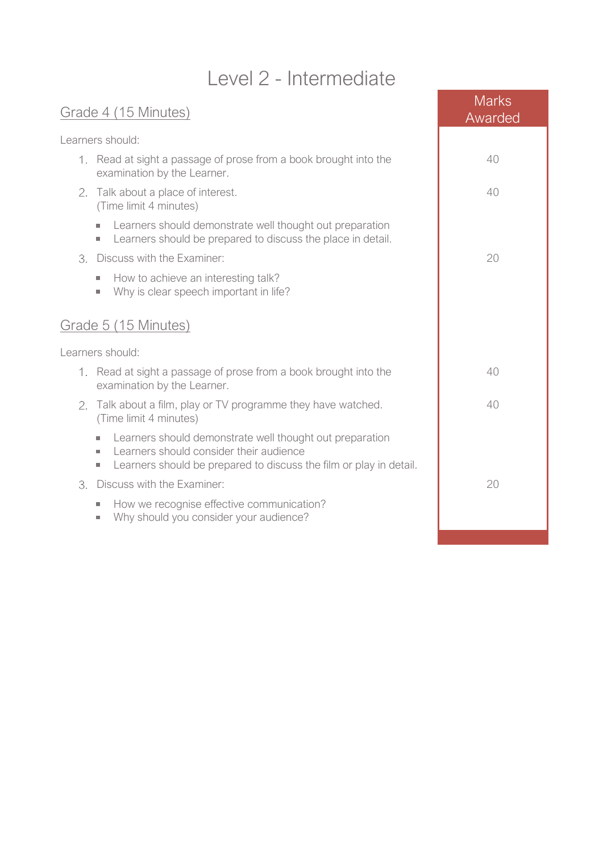# Level 2 - Intermediate

| Grade 4 (15 Minutes)                                                                                                                                                                                                     | <b>Marks</b><br>Awarded |
|--------------------------------------------------------------------------------------------------------------------------------------------------------------------------------------------------------------------------|-------------------------|
| Learners should:                                                                                                                                                                                                         |                         |
| 1. Read at sight a passage of prose from a book brought into the<br>examination by the Learner.                                                                                                                          | 40                      |
| 2. Talk about a place of interest.<br>(Time limit 4 minutes)                                                                                                                                                             | 40                      |
| Learners should demonstrate well thought out preparation<br>Learners should be prepared to discuss the place in detail.<br>×.                                                                                            |                         |
| Discuss with the Examiner:<br>3.                                                                                                                                                                                         | 20                      |
| How to achieve an interesting talk?<br>×.<br>Why is clear speech important in life?<br>$\mathcal{L}_{\mathcal{A}}$                                                                                                       |                         |
| Grade 5 (15 Minutes)                                                                                                                                                                                                     |                         |
| Learners should:                                                                                                                                                                                                         |                         |
| 1. Read at sight a passage of prose from a book brought into the<br>examination by the Learner.                                                                                                                          | 40                      |
| 2. Talk about a film, play or TV programme they have watched.<br>(Time limit 4 minutes)                                                                                                                                  | 40                      |
| Learners should demonstrate well thought out preparation<br>$\sim$<br>Learners should consider their audience<br>×.<br>Learners should be prepared to discuss the film or play in detail.<br>$\mathcal{L}_{\mathcal{A}}$ |                         |
| Discuss with the Examiner:<br>3.                                                                                                                                                                                         | 20                      |
| How we recognise effective communication?<br>$\sim$<br>Why should you consider your audience?<br>$\mathcal{L}_{\mathcal{A}}$                                                                                             |                         |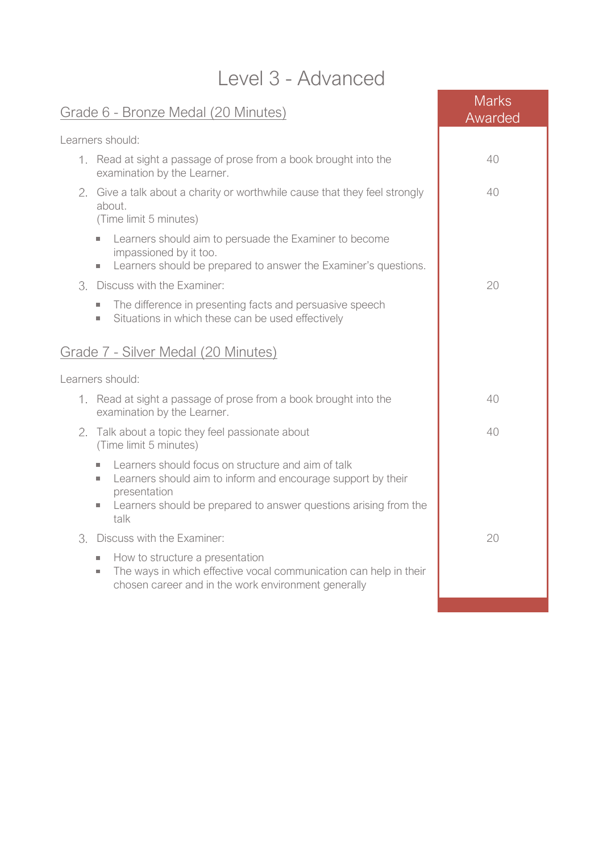| LCVCLU <sup>-</sup> AUVALIUCU                                                                                                                                                                                                                    |                         |  |
|--------------------------------------------------------------------------------------------------------------------------------------------------------------------------------------------------------------------------------------------------|-------------------------|--|
| Grade 6 - Bronze Medal (20 Minutes)                                                                                                                                                                                                              | <b>Marks</b><br>Awarded |  |
| Learners should:                                                                                                                                                                                                                                 |                         |  |
| 1. Read at sight a passage of prose from a book brought into the<br>examination by the Learner.                                                                                                                                                  | 40                      |  |
| 2. Give a talk about a charity or worthwhile cause that they feel strongly<br>about.<br>(Time limit 5 minutes)                                                                                                                                   | 40                      |  |
| Learners should aim to persuade the Examiner to become<br>×.<br>impassioned by it too.<br>Learners should be prepared to answer the Examiner's questions.<br>×.                                                                                  |                         |  |
| Discuss with the Examiner:<br>3.                                                                                                                                                                                                                 | 20                      |  |
| The difference in presenting facts and persuasive speech<br>×.<br>Situations in which these can be used effectively<br>×.                                                                                                                        |                         |  |
| Grade 7 - Silver Medal (20 Minutes)                                                                                                                                                                                                              |                         |  |
| Learners should:                                                                                                                                                                                                                                 |                         |  |
| 1. Read at sight a passage of prose from a book brought into the<br>examination by the Learner.                                                                                                                                                  | 40                      |  |
| Talk about a topic they feel passionate about<br>2.<br>(Time limit 5 minutes)                                                                                                                                                                    | 40                      |  |
| Learners should focus on structure and aim of talk<br>$\mathcal{L}_{\mathcal{A}}$<br>Learners should aim to inform and encourage support by their<br>×.<br>presentation<br>Learners should be prepared to answer questions arising from the<br>ш |                         |  |
| talk<br>3. Discuss with the Examiner:                                                                                                                                                                                                            | 20                      |  |
| How to structure a presentation<br>The ways in which effective vocal communication can help in their<br>$\mathcal{L}_{\mathcal{A}}$<br>chosen career and in the work environment generally                                                       |                         |  |
|                                                                                                                                                                                                                                                  |                         |  |

### Level 3 - Advanced